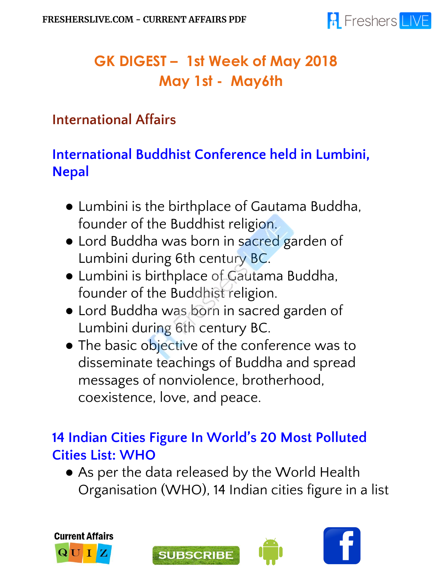

# **GK DIGEST – 1st Week of May 2018 May 1st - May6th**

#### **International Affairs**

## **International Buddhist Conference held in Lumbini, Nepal**

- Lumbini is the birthplace of Gautama Buddha, founder of the Buddhist religion.
- Lord Buddha was born in sacred garden of Lumbini during 6th century BC.
- Lumbini is birthplace of Gautama Buddha, founder of the Buddhist religion.
- Lord Buddha was born in sacred garden of Lumbini during 6th century BC.
- The basic objective of the conference was to disseminate teachings of Buddha and spread messages of nonviolence, brotherhood, coexistence, love, and peace.

#### **14 Indian Cities Figure In World's 20 Most Polluted Cities List: WHO**

• As per the data released by the World Health Organisation (WHO), 14 Indian cities figure in a list







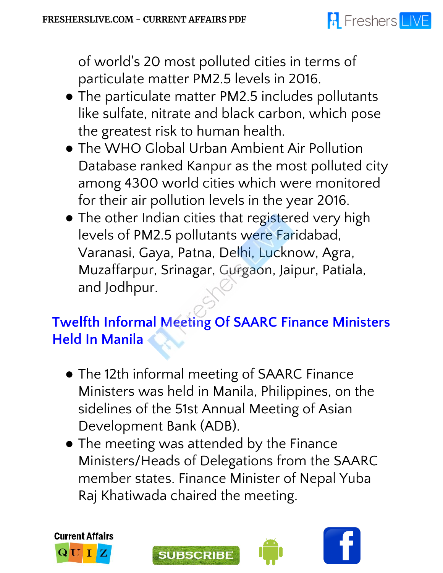# **R** Freshers LIVE

of world' s 20 most polluted cities in terms of particulate matter PM2.5 levels in 2016.

- The particulate matter PM2.5 includes pollutants like sulfate, nitrate and black carbon, which pose the greatest risk to human health.
- The WHO Global Urban Ambient Air Pollution Database ranked Kanpur as the most polluted city among 4300 world cities which were monitored for their air pollution levels in the year 2016.
- The other Indian cities that registered very high levels of PM2.5 pollutants were Faridabad, Varanasi, Gaya, Patna, Delhi, Lucknow, Agra, Muzaffarpur, Srinagar, Gurgaon, Jaipur, Patiala, and Jodhpur.

## **Twelfth Informal Meeting Of SAARC Finance Ministers Held In Manila**

- The 12th informal meeting of SAARC Finance Ministers was held in Manila, Philippines, on the sidelines of the 51st Annual Meeting of Asian Development Bank (ADB).
- The meeting was attended by the Finance Ministers/Heads of Delegations from the SAARC member states. Finance Minister of Nepal Yuba Raj Khatiwada chaired the meeting.







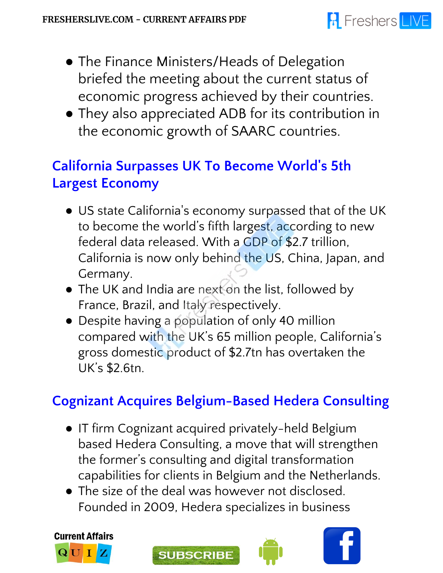- The Finance Ministers/Heads of Delegation briefed the meeting about the current status of economic progress achieved by their countries.
- They also appreciated ADB for its contribution in the economic growth of SAARC countries.

## **California Surpasses UK To Become World' s 5th Largest Economy**

- US state California's economy surpassed that of the UK to become the world's fifth largest, according to new federal data released. With a GDP of \$2.7 trillion, California is now only behind the US, China, Japan, and Germany.
- The UK and India are next on the list, followed by France, Brazil, and Italy respectively.
- Despite having a population of only 40 million compared with the UK's 65 million people, California's gross domestic product of \$2.7tn has overtaken the UK's \$2.6tn.

## **Cognizant Acquires Belgium-Based Hedera Consulting**

- IT firm Cognizant acquired privately-held Belgium based Hedera Consulting, a move that will strengthen the former's consulting and digital transformation capabilities for clients in Belgium and the Netherlands.
- The size of the deal was however not disclosed. Founded in 2009, Hedera specializes in business





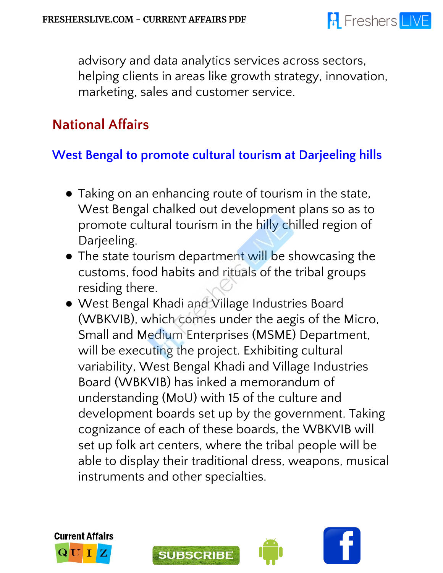

advisory and data analytics services across sectors, helping clients in areas like growth strategy, innovation, marketing, sales and customer service.

#### **National Affairs**

#### **West Bengal to promote cultural tourism at Darjeeling hills**

- Taking on an enhancing route of tourism in the state, West Bengal chalked out development plans so as to promote cultural tourism in the hilly chilled region of Darjeeling.
- The state tourism department will be showcasing the customs, food habits and rituals of the tribal groups residing there.
- West Bengal Khadi and Village Industries Board (WBKVIB), which comes under the aegis of the Micro, Small and Medium Enterprises (MSME) Department, will be executing the project. Exhibiting cultural variability, West Bengal Khadi and Village Industries Board (WBKVIB) has inked a memorandum of understanding (MoU) with 15 of the culture and development boards set up by the government. Taking cognizance of each of these boards, the WBKVIB will set up folk art centers, where the tribal people will be able to display their traditional dress, weapons, musical instruments and other specialties.



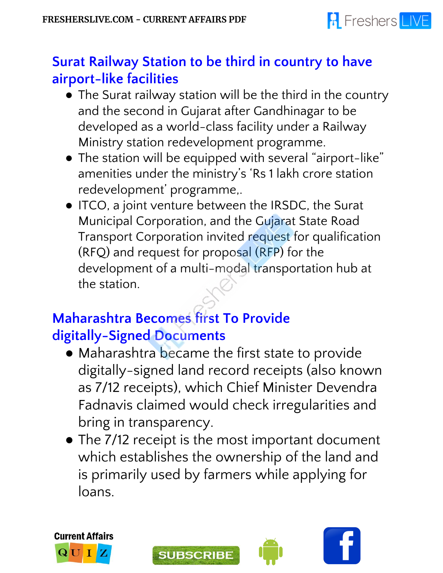

#### **Surat Railway Station to be third in country to have airport-like facilities**

- The Surat railway station will be the third in the country and the second in Gujarat after Gandhinagar to be developed as a world-class facility under a Railway Ministry station redevelopment programme.
- The station will be equipped with several "airport-like" amenities under the ministry's 'Rs 1 lakh crore station redevelopment' programme,.
- ITCO, a joint venture between the IRSDC, the Surat Municipal Corporation, and the Gujarat State Road Transport Corporation invited request for qualification (RFQ) and request for proposal (RFP) for the development of a multi-modal transportation hub at the station.

## **Maharashtra Becomes first To Provide digitally-Signed Documents**

- Maharashtra became the first state to provide digitally-signed land record receipts (also known as 7/12 receipts), which Chief Minister Devendra Fadnavis claimed would check irregularities and bring in transparency.
- The 7/12 receipt is the most important document which establishes the ownership of the land and is primarily used by farmers while applying for loans.







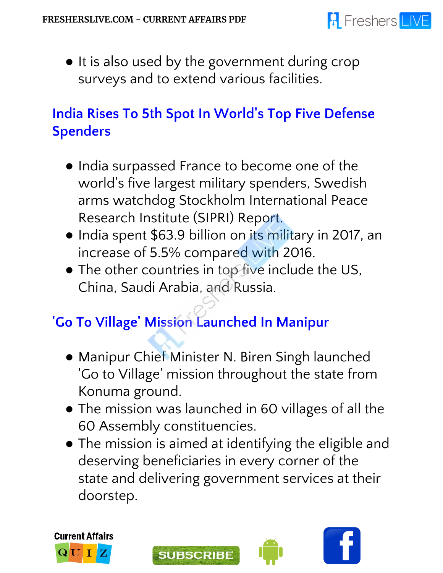

● It is also used by the government during crop surveys and to extend various facilities.

## **India Rises To 5th Spot In World' s Top Five Defense Spenders**

- India surpassed France to become one of the world' s five largest military spenders, Swedish arms watchdog Stockholm International Peace Research Institute (SIPRI) Report.
- India spent \$63.9 billion on its military in 2017, an increase of 5.5% compared with 2016.
- The other countries in top five include the US, China, Saudi Arabia, and Russia.

## **'Go To Village ' Mission Launched In Manipur**

- Manipur Chief Minister N. Biren Singh launched 'Go to Village ' mission throughout the state from Konuma ground.
- The mission was launched in 60 villages of all the 60 Assembly constituencies.
- The mission is aimed at identifying the eligible and deserving beneficiaries in every corner of the state and delivering government services at their doorstep.







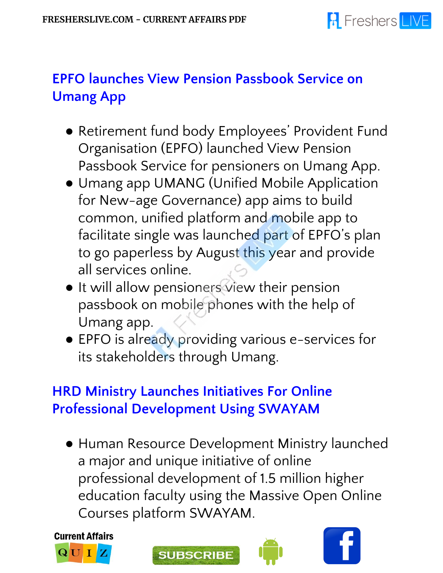

## **EPFO launches View Pension Passbook Service on Umang App**

- Retirement fund body Employees' Provident Fund Organisation (EPFO) launched View Pension Passbook Service for pensioners on Umang App.
- Umang app UMANG (Unified Mobile Application for New-age Governance) app aims to build common, unified platform and mobile app to facilitate single was launched part of EPFO's plan to go paperless by August this year and provide all services online.
- It will allow pensioners view their pension passbook on mobile phones with the help of Umang app.
- EPFO is already providing various e-services for its stakeholders through Umang.

#### **HRD Ministry Launches Initiatives For Online Professional Development Using SWAYAM**

● Human Resource Development Ministry launched a major and unique initiative of online professional development of 1.5 million higher education faculty using the Massive Open Online Courses platform SWAYAM.







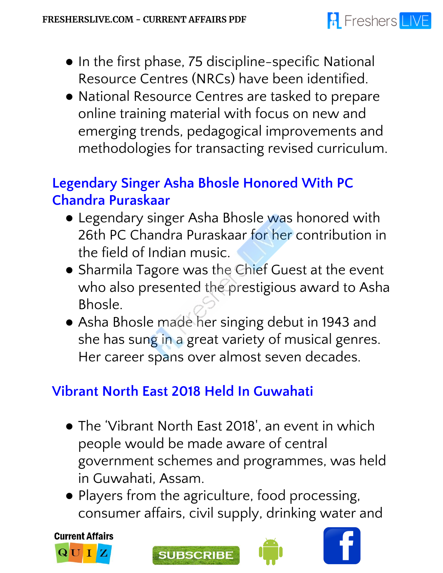# **R** Freshers LIVE

- In the first phase, 75 discipline-specific National Resource Centres (NRCs) have been identified.
- National Resource Centres are tasked to prepare online training material with focus on new and emerging trends, pedagogical improvements and methodologies for transacting revised curriculum.

## **Legendary Singer Asha Bhosle Honored With PC Chandra Puraskaar**

- Legendary singer Asha Bhosle was honored with 26th PC Chandra Puraskaar for her contribution in the field of Indian music.
- Sharmila Tagore was the Chief Guest at the event who also presented the prestigious award to Asha Bhosle.
- Asha Bhosle made her singing debut in 1943 and she has sung in a great variety of musical genres. Her career spans over almost seven decades.

## **Vibrant North East 2018 Held In Guwahati**

- The 'Vibrant North East 2018', an event in which people would be made aware of central government schemes and programmes, was held in Guwahati, Assam.
- Players from the agriculture, food processing, consumer affairs, civil supply, drinking water and

**Current Affairs** QUI





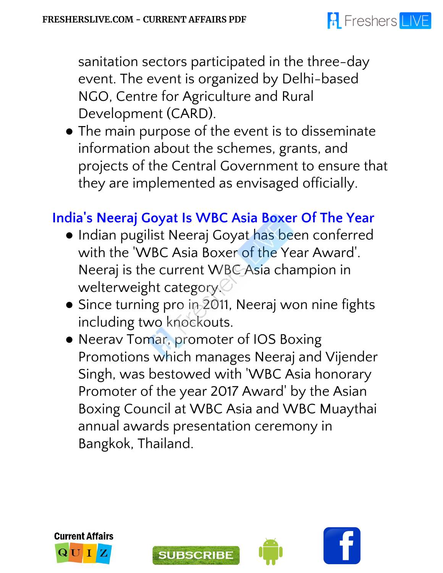## **A** Freshers LIVE

sanitation sectors participated in the three-day event. The event is organized by Delhi-based NGO, Centre for Agriculture and Rural Development (CARD).

● The main purpose of the event is to disseminate information about the schemes, grants, and projects of the Central Government to ensure that they are implemented as envisaged officially.

#### **India 's Neeraj Goyat Is WBC Asia Boxer Of The Year**

- Indian pugilist Neeraj Goyat has been conferred with the 'WBC Asia Boxer of the Year Award'. Neeraj is the current WBC Asia champion in welterweight category.
- Since turning pro in 2011, Neeraj won nine fights including two knockouts.
- Neerav Tomar, promoter of IOS Boxing Promotions which manages Neeraj and Vijender Singh, was bestowed with 'WBC Asia honorary Promoter of the year 2017 Award' by the Asian Boxing Council at WBC Asia and WBC Muaythai annual awards presentation ceremony in Bangkok, Thailand.





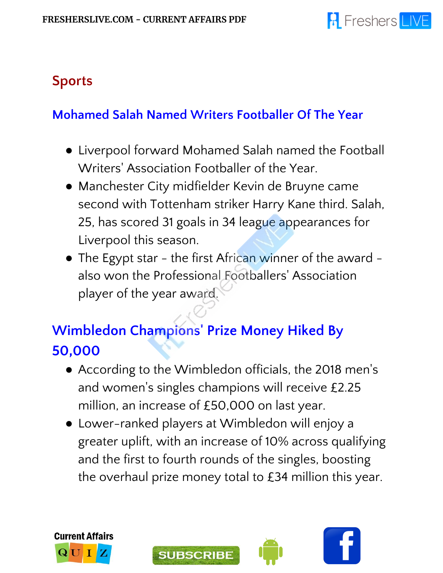

#### **Sports**

#### **Mohamed Salah Named Writers Footballer Of The Year**

- Liverpool forward Mohamed Salah named the Football Writers' Association Footballer of the Year.
- Manchester City midfielder Kevin de Bruyne came second with Tottenham striker Harry Kane third. Salah, 25, has scored 31 goals in 34 league appearances for Liverpool this season.
- The Egypt star the first African winner of the award also won the Professional Footballers' Association player of the year award.

## **Wimbledon Champions ' Prize Money Hiked By 50,000**

- According to the Wimbledon officials, the 2018 men's and women's singles champions will receive £2.25 million, an increase of £50,000 on last year.
- Lower-ranked players at Wimbledon will enjoy a greater uplift, with an increase of 10% across qualifying and the first to fourth rounds of the singles, boosting the overhaul prize money total to £34 million this year.





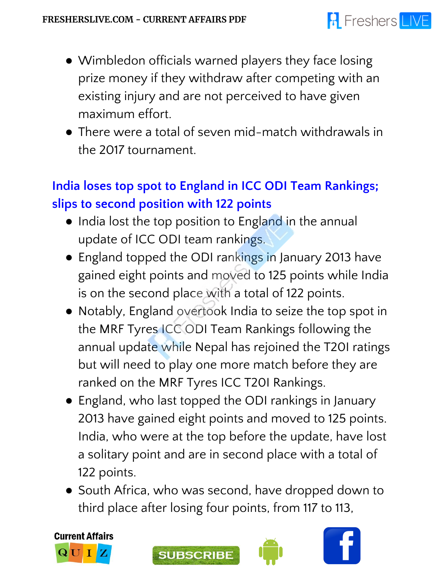

- Wimbledon officials warned players they face losing prize money if they withdraw after competing with an existing injury and are not perceived to have given maximum effort.
- There were a total of seven mid-match withdrawals in the 2017 tournament.

## **India loses top spot to England in ICC ODI Team Rankings; slips to second position with 122 points**

- India lost the top position to England in the annual update of ICC ODI team rankings.
- England topped the ODI rankings in January 2013 have gained eight points and moved to 125 points while India is on the second place with a total of 122 points.
- Notably, England overtook India to seize the top spot in the MRF Tyres ICC ODI Team Rankings following the annual update while Nepal has rejoined the T20I ratings but will need to play one more match before they are ranked on the MRF Tyres ICC T20I Rankings.
- England, who last topped the ODI rankings in January 2013 have gained eight points and moved to 125 points. India, who were at the top before the update, have lost a solitary point and are in second place with a total of 122 points.
- South Africa, who was second, have dropped down to third place after losing four points, from 117 to 113,







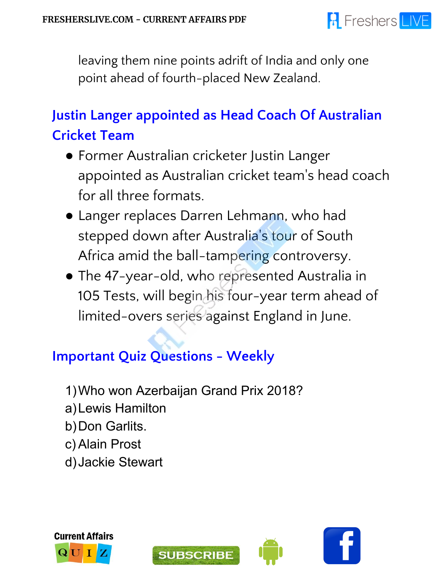

leaving them nine points adrift of India and only one point ahead of fourth-placed New Zealand.

# **Justin Langer appointed as Head Coach Of Australian Cricket Team**

- Former Australian cricketer Justin Langer appointed as Australian cricket team 's head coach for all three formats.
- Langer replaces Darren Lehmann, who had stepped down after Australia ' s tour of South Africa amid the ball-tampering controversy.
- The 47-year-old, who represented Australia in 105 Tests, will begin his four-year term ahead of limited-overs series against England in June.

## **Important Quiz Questions - Weekly**

- 1)Who won Azerbaijan Grand Prix 2018?
- a)Lewis Hamilton
- b)Don Garlits.
- c) Alain Prost
- d)Jackie Stewart







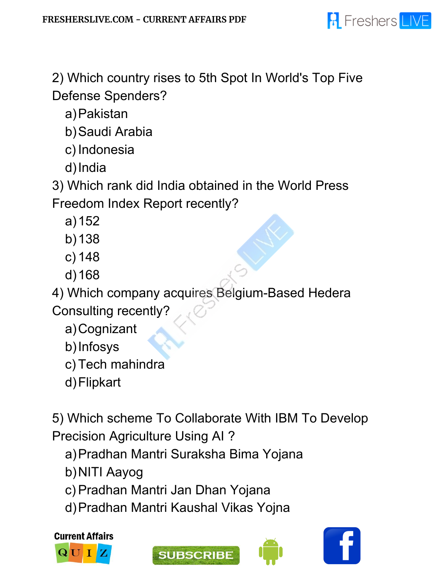

2) Which country rises to 5th Spot In World's Top Five Defense Spenders?

a)Pakistan

b)Saudi Arabia

c) Indonesia

d)India

3) Which rank did India obtained in the World Press

Freedom Index Report recently?

- a)152
- b)138
- c) 148
- d)168

4) Which company acquires Belgium-Based Hedera Consulting recently?

a)Cognizant

b)Infosys

c) Tech mahindra

d)Flipkart

5) Which scheme To Collaborate With IBM To Develop Precision Agriculture Using AI ?

a)Pradhan Mantri Suraksha Bima Yojana

- b)NITI Aayog
- c) Pradhan Mantri Jan Dhan Yojana
- d)Pradhan Mantri Kaushal Vikas Yojna

**Current Affairs**  ${\bf Q}$   ${\bf U}$ 





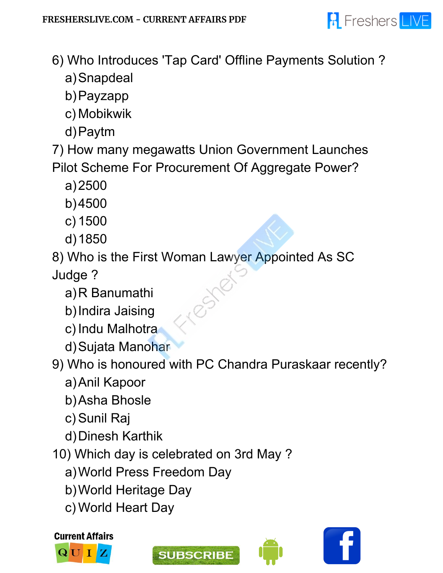

- 6) Who Introduces 'Tap Card' Offline Payments Solution ?
	- a)Snapdeal
	- b)Payzapp
	- c) Mobikwik
	- d)Paytm

7) How many megawatts Union Government Launches Pilot Scheme For Procurement Of Aggregate Power?

- a)2500
- b)4500
- c) 1500
- d)1850

8) Who is the First Woman Lawyer Appointed As SC

Judge ?

- a)R Banumathi
- b)Indira Jaising
- c) Indu Malhotra
- d)Sujata Manohar
- 9) Who is honoured with PC Chandra Puraskaar recently?
	- a)Anil Kapoor
	- b)Asha Bhosle
	- c) Sunil Raj
	- d)Dinesh Karthik
- 10) Which day is celebrated on 3rd May ?
	- a)World Press Freedom Day
	- b)World Heritage Day
	- c) World Heart Day









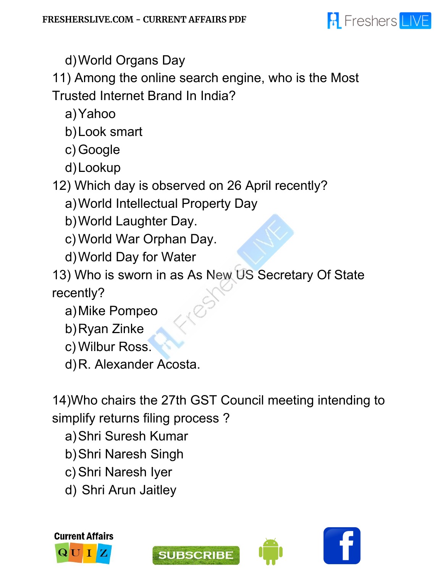

d)World Organs Day

11) Among the online search engine, who is the Most Trusted Internet Brand In India?

a)Yahoo

b)Look smart

c) Google

d)Lookup

12) Which day is observed on 26 April recently?

a)World Intellectual Property Day

b)World Laughter Day.

c) World War Orphan Day.

d)World Day for Water

13) Who is sworn in as As New US Secretary Of State recently?

a)Mike Pompeo

b)Ryan Zinke

c) Wilbur Ross.

d)R. Alexander Acosta.

14)Who chairs the 27th GST Council meeting intending to simplify returns filing process ?

- a)Shri Suresh Kumar
- b)Shri Naresh Singh
- c) Shri Naresh Iyer
- d) Shri Arun Jaitley